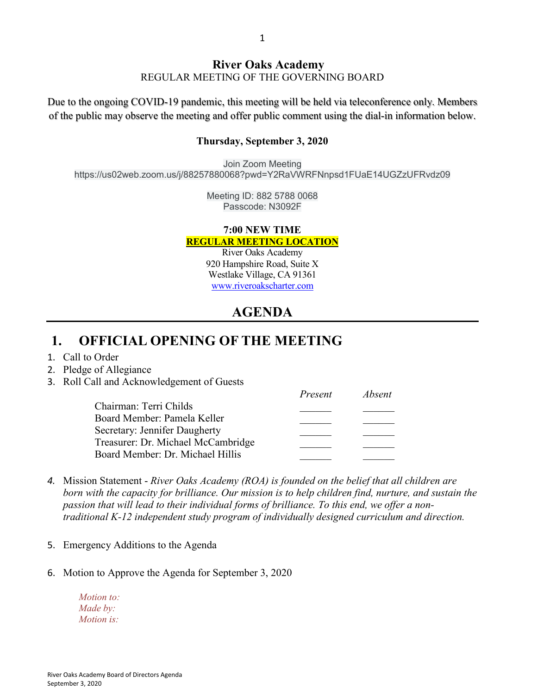#### **River Oaks Academy**

REGULAR MEETING OF THE GOVERNING BOARD

Due to the ongoing COVID-19 pandemic, this meeting will be held via teleconference only. Members of the public may observe the meeting and offer public comment using the dial-in information below.

#### **Thursday, September 3, 2020**

Join Zoom Meeting https://us02web.zoom.us/j/88257880068?pwd=Y2RaVWRFNnpsd1FUaE14UGZzUFRvdz09

> Meeting ID: 882 5788 0068 Passcode: N3092F

#### **7:00 NEW TIME REGULAR MEETING LOCATION**

River Oaks Academy 920 Hampshire Road, Suite X Westlake Village, CA 91361 [www.riveroakscharter.com](http://www.riveroakscharter.com/)

# **AGENDA**

### **1. OFFICIAL OPENING OF THE MEETING**

- 1. Call to Order
- 2. Pledge of Allegiance
- 3. Roll Call and Acknowledgement of Guests

|                                    | Present | Absent |
|------------------------------------|---------|--------|
| Chairman: Terri Childs             |         |        |
| Board Member: Pamela Keller        |         |        |
| Secretary: Jennifer Daugherty      |         |        |
| Treasurer: Dr. Michael McCambridge |         |        |
| Board Member: Dr. Michael Hillis   |         |        |

- *4.* Mission Statement *River Oaks Academy (ROA) is founded on the belief that all children are born with the capacity for brilliance. Our mission is to help children find, nurture, and sustain the passion that will lead to their individual forms of brilliance. To this end, we offer a nontraditional K-12 independent study program of individually designed curriculum and direction.*
- 5. Emergency Additions to the Agenda
- 6. Motion to Approve the Agenda for September 3, 2020

*Motion to: Made by: Motion is:*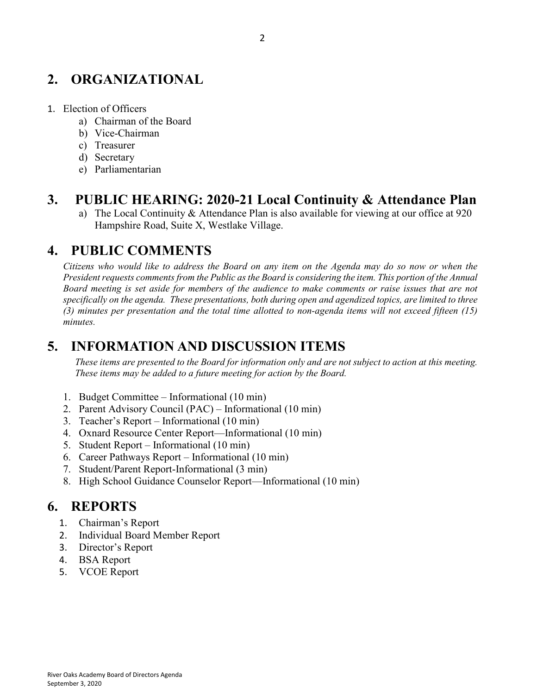# **2. ORGANIZATIONAL**

- 1. Election of Officers
	- a) Chairman of the Board
	- b) Vice-Chairman
	- c) Treasurer
	- d) Secretary
	- e) Parliamentarian

#### **3. PUBLIC HEARING: 2020-21 Local Continuity & Attendance Plan**

a) The Local Continuity & Attendance Plan is also available for viewing at our office at 920 Hampshire Road, Suite X, Westlake Village.

#### **4. PUBLIC COMMENTS**

*Citizens who would like to address the Board on any item on the Agenda may do so now or when the President requests comments from the Public as the Board is considering the item. This portion of the Annual Board meeting is set aside for members of the audience to make comments or raise issues that are not specifically on the agenda. These presentations, both during open and agendized topics, are limited to three (3) minutes per presentation and the total time allotted to non-agenda items will not exceed fifteen (15) minutes.*

## **5. INFORMATION AND DISCUSSION ITEMS**

*These items are presented to the Board for information only and are not subject to action at this meeting. These items may be added to a future meeting for action by the Board.*

- 1. Budget Committee Informational (10 min)
- 2. Parent Advisory Council (PAC) Informational (10 min)
- 3. Teacher's Report Informational (10 min)
- 4. Oxnard Resource Center Report—Informational (10 min)
- 5. Student Report Informational (10 min)
- 6. Career Pathways Report Informational (10 min)
- 7. Student/Parent Report-Informational (3 min)
- 8. High School Guidance Counselor Report—Informational (10 min)

#### **6. REPORTS**

- 1. Chairman's Report
- 2. Individual Board Member Report
- 3. Director's Report
- 4. BSA Report
- 5. VCOE Report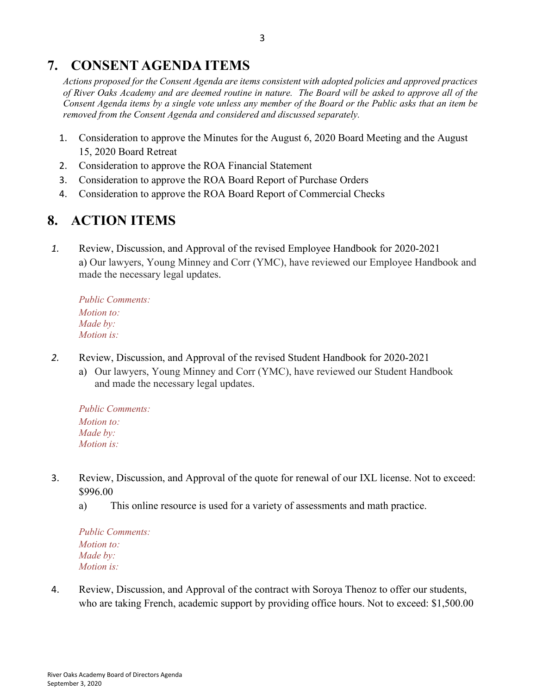# **7. CONSENT AGENDA ITEMS**

*Actions proposed for the Consent Agenda are items consistent with adopted policies and approved practices of River Oaks Academy and are deemed routine in nature. The Board will be asked to approve all of the Consent Agenda items by a single vote unless any member of the Board or the Public asks that an item be removed from the Consent Agenda and considered and discussed separately.*

- 1. Consideration to approve the Minutes for the August 6, 2020 Board Meeting and the August 15, 2020 Board Retreat
- 2. Consideration to approve the ROA Financial Statement
- 3. Consideration to approve the ROA Board Report of Purchase Orders
- 4. Consideration to approve the ROA Board Report of Commercial Checks

# **8. ACTION ITEMS**

*1.* Review, Discussion, and Approval of the revised Employee Handbook for 2020-2021 a) Our lawyers, Young Minney and Corr (YMC), have reviewed our Employee Handbook and made the necessary legal updates.

*Public Comments: Motion to: Made by: Motion is:*

- *2.* Review, Discussion, and Approval of the revised Student Handbook for 2020-2021
	- a) Our lawyers, Young Minney and Corr (YMC), have reviewed our Student Handbook and made the necessary legal updates.

*Public Comments: Motion to: Made by: Motion is:*

- 3. Review, Discussion, and Approval of the quote for renewal of our IXL license. Not to exceed: \$996.00
	- a) This online resource is used for a variety of assessments and math practice.

*Public Comments: Motion to: Made by: Motion is:*

4. Review, Discussion, and Approval of the contract with Soroya Thenoz to offer our students, who are taking French, academic support by providing office hours. Not to exceed: \$1,500.00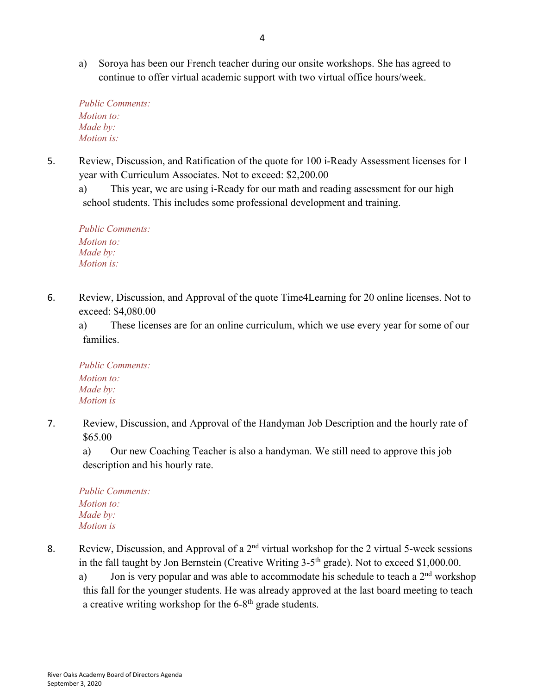a) Soroya has been our French teacher during our onsite workshops. She has agreed to continue to offer virtual academic support with two virtual office hours/week.

*Public Comments: Motion to: Made by: Motion is:*

5. Review, Discussion, and Ratification of the quote for 100 i-Ready Assessment licenses for 1 year with Curriculum Associates. Not to exceed: \$2,200.00

a) This year, we are using i-Ready for our math and reading assessment for our high school students. This includes some professional development and training.

*Public Comments: Motion to: Made by: Motion is:*

6. Review, Discussion, and Approval of the quote Time4Learning for 20 online licenses. Not to exceed: \$4,080.00

a) These licenses are for an online curriculum, which we use every year for some of our families.

*Public Comments: Motion to: Made by: Motion is*

7. Review, Discussion, and Approval of the Handyman Job Description and the hourly rate of \$65.00

a) Our new Coaching Teacher is also a handyman. We still need to approve this job description and his hourly rate.

*Public Comments: Motion to: Made by: Motion is*

- 8. Review, Discussion, and Approval of a  $2<sup>nd</sup>$  virtual workshop for the 2 virtual 5-week sessions in the fall taught by Jon Bernstein (Creative Writing 3-5<sup>th</sup> grade). Not to exceed \$1,000.00.
	- a) Jon is very popular and was able to accommodate his schedule to teach a  $2<sup>nd</sup>$  workshop this fall for the younger students. He was already approved at the last board meeting to teach a creative writing workshop for the 6-8<sup>th</sup> grade students.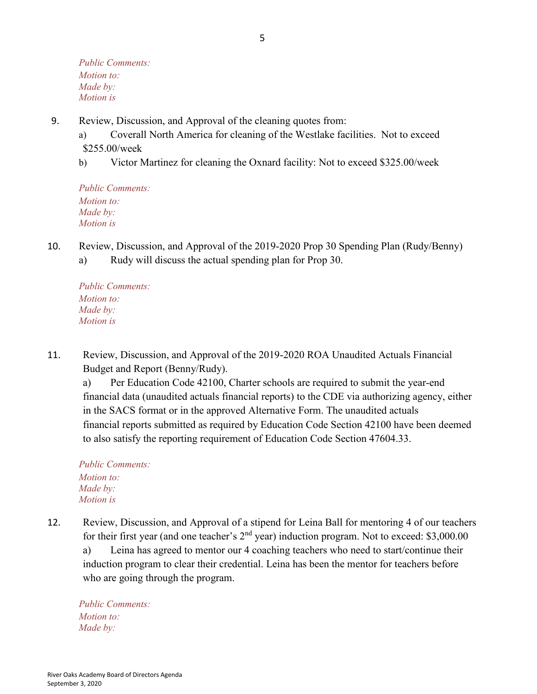*Public Comments: Motion to: Made by: Motion is*

- 9. Review, Discussion, and Approval of the cleaning quotes from:
	- a) Coverall North America for cleaning of the Westlake facilities. Not to exceed \$255.00/week
	- b) Victor Martinez for cleaning the Oxnard facility: Not to exceed \$325.00/week

*Public Comments: Motion to: Made by: Motion is*

10. Review, Discussion, and Approval of the 2019-2020 Prop 30 Spending Plan (Rudy/Benny) a) Rudy will discuss the actual spending plan for Prop 30.

*Public Comments: Motion to: Made by: Motion is*

11. Review, Discussion, and Approval of the 2019-2020 ROA Unaudited Actuals Financial Budget and Report (Benny/Rudy).

a) Per Education Code 42100, Charter schools are required to submit the year-end financial data (unaudited actuals financial reports) to the CDE via authorizing agency, either in the SACS format or in the approved Alternative Form. The unaudited actuals financial reports submitted as required by Education Code Section 42100 have been deemed to also satisfy the reporting requirement of Education Code Section 47604.33.

*Public Comments: Motion to: Made by: Motion is*

12. Review, Discussion, and Approval of a stipend for Leina Ball for mentoring 4 of our teachers for their first year (and one teacher's 2<sup>nd</sup> year) induction program. Not to exceed: \$3,000.00 a) Leina has agreed to mentor our 4 coaching teachers who need to start/continue their induction program to clear their credential. Leina has been the mentor for teachers before who are going through the program.

*Public Comments: Motion to: Made by:*